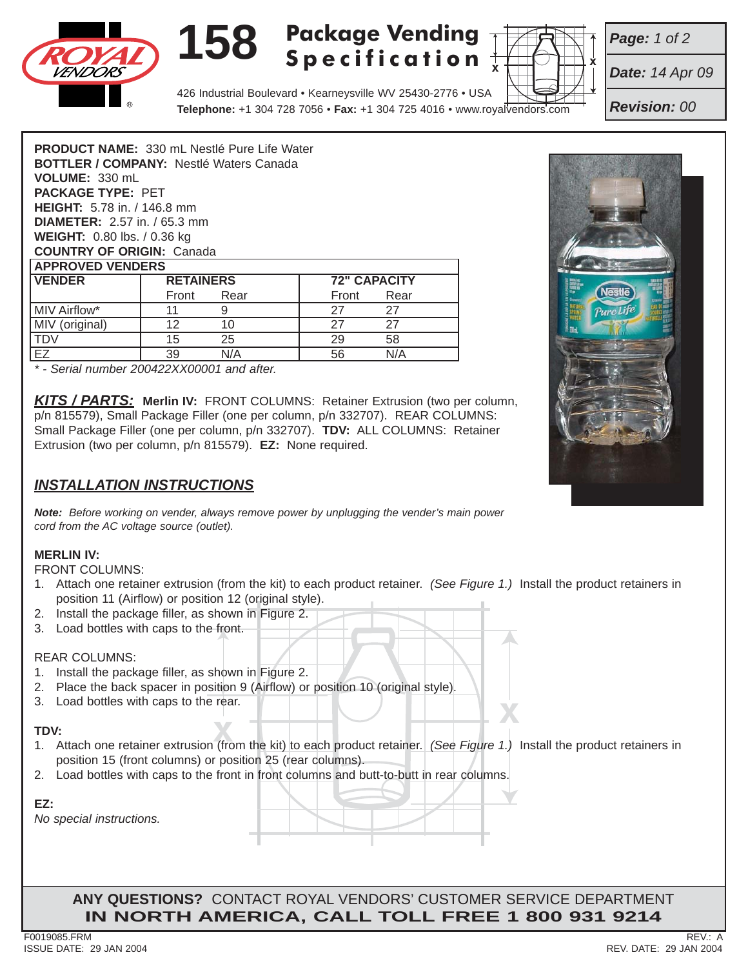

# **158 Package Vending Specification**



*Date: 14 Apr 09*

*Page: 1 of 2*

*Revision: 00*

| <b>PRODUCT NAME: 330 mL Nestlé Pure Life Water</b> |                  |      |                     |      |  |
|----------------------------------------------------|------------------|------|---------------------|------|--|
| <b>BOTTLER / COMPANY: Nestlé Waters Canada</b>     |                  |      |                     |      |  |
| VOLUME: 330 mL                                     |                  |      |                     |      |  |
| <b>PACKAGE TYPE: PET</b>                           |                  |      |                     |      |  |
| <b>HEIGHT:</b> 5.78 in. / 146.8 mm                 |                  |      |                     |      |  |
| <b>DIAMETER:</b> $2.57$ in. / 65.3 mm              |                  |      |                     |      |  |
| <b>WEIGHT:</b> 0.80 lbs. / 0.36 kg                 |                  |      |                     |      |  |
| <b>COUNTRY OF ORIGIN: Canada</b>                   |                  |      |                     |      |  |
| <b>APPROVED VENDERS</b>                            |                  |      |                     |      |  |
| <b>VENDER</b>                                      | <b>RETAINERS</b> |      | <b>72" CAPACITY</b> |      |  |
|                                                    | Front            | Rear | Front               | Rear |  |
| <b>MIV Airflow*</b>                                | 11               | 9    | 27                  | 27   |  |
| MIV (original)                                     | 12               | 10   | 27                  | 27   |  |
| <b>TDV</b>                                         | 15               | 25   | 29                  | 58   |  |
| EZ                                                 | 39               | N/A  | 56                  | N/A  |  |

*\* - Serial number 200422XX00001 and after.*

*KITS / PARTS:* **Merlin IV:** FRONT COLUMNS: Retainer Extrusion (two per column, p/n 815579), Small Package Filler (one per column, p/n 332707). REAR COLUMNS: Small Package Filler (one per column, p/n 332707). **TDV:** ALL COLUMNS: Retainer Extrusion (two per column, p/n 815579). **EZ:** None required.

## *INSTALLATION INSTRUCTIONS*

*Note: Before working on vender, always remove power by unplugging the vender's main power cord from the AC voltage source (outlet).*

#### **MERLIN IV:**

FRONT COLUMNS:

- 1. Attach one retainer extrusion (from the kit) to each product retainer. *(See Figure 1.)* Install the product retainers in position 11 (Airflow) or position 12 (original style).
- 2. Install the package filler, as shown in Figure 2.
- 3. Load bottles with caps to the front.

#### REAR COLUMNS:

- 1. Install the package filler, as shown in Figure 2.
- 2. Place the back spacer in position 9 (Airflow) or position 10 (original style).
- 3. Load bottles with caps to the rear.

### **TDV:**

- **X.** Load bottles with caps to the rear.<br> **XXIV**:<br>
1. Attach one retainer extrusion (from the kit) to each product retainer. *(See Figure 1.)* Install the product retainers in position 15 (front columns) or position 25 (rear columns).
- 2. Load bottles with caps to the front in front columns and butt-to-butt in rear columns.

| _ |  |
|---|--|
|   |  |

*No special instructions.*

**ANY QUESTIONS?** CONTACT ROYAL VENDORS' CUSTOMER SERVICE DEPARTMENT **IN NORTH AMERICA, CALL TOLL FREE 1 800 931 9214**